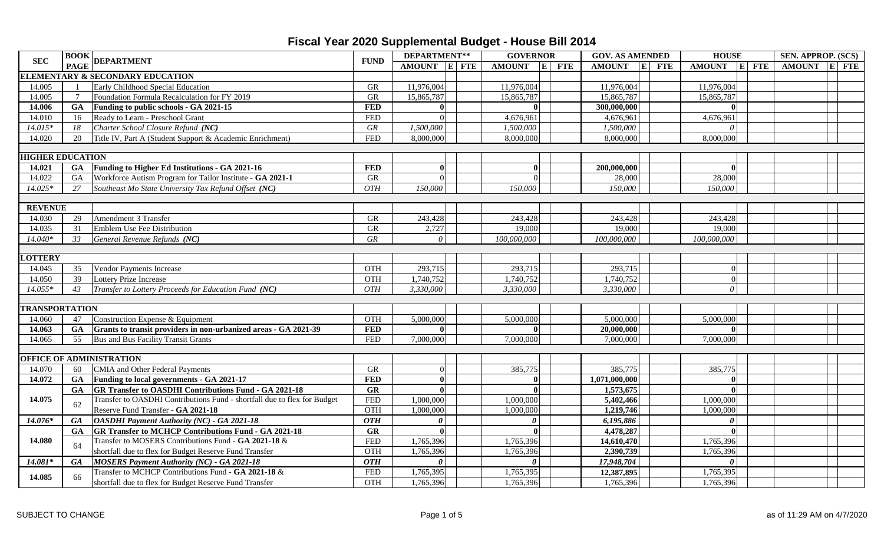| <b>SEC</b>              |           | $\begin{array}{ c c }\n\hline\textbf{BOOK} & \textbf{DEPARTMENT}\n\end{array}$ | <b>FUND</b>      | DEPARTMENT**    |  | <b>GOVERNOR</b>       |  | <b>GOV. AS AMENDED</b> |  | <b>HOUSE</b>   | SEN. APPROP. (SCS) |  |  |
|-------------------------|-----------|--------------------------------------------------------------------------------|------------------|-----------------|--|-----------------------|--|------------------------|--|----------------|--------------------|--|--|
|                         |           |                                                                                |                  | AMOUNT E FTE    |  | AMOUNT E FTE          |  | AMOUNT E FTE           |  | $AMOUNT$ E FTE | AMOUNT E FTE       |  |  |
|                         |           | <b>ELEMENTARY &amp; SECONDARY EDUCATION</b>                                    |                  |                 |  |                       |  |                        |  |                |                    |  |  |
| 14.005                  |           | Early Childhood Special Education                                              | <b>GR</b>        | 11,976,004      |  | 11,976,004            |  | 11,976,004             |  | 11,976,004     |                    |  |  |
| 14.005                  |           | Foundation Formula Recalculation for FY 2019                                   | <b>GR</b>        | 15,865,787      |  | 15,865,787            |  | 15,865,787             |  | 15,865,787     |                    |  |  |
| 14.006                  | <b>GA</b> | Funding to public schools - GA 2021-15                                         | <b>FED</b>       | $\mathbf{0}$    |  |                       |  | 300,000,000            |  | $\Omega$       |                    |  |  |
| 14.010                  | 16        | Ready to Learn - Preschool Grant                                               | <b>FED</b>       | $\Omega$        |  | 4,676,961             |  | 4,676,961              |  | 4,676,961      |                    |  |  |
| $14.015*$               | 18        | Charter School Closure Refund (NC)                                             | $G$ $R$          | 1,500,000       |  | 1,500,000             |  | 1,500,000              |  | $\theta$       |                    |  |  |
| 14.020                  | 20        | Title IV, Part A (Student Support & Academic Enrichment)                       | <b>FED</b>       | 8,000,000       |  | 8,000,000             |  | 8,000,000              |  | 8,000,000      |                    |  |  |
|                         |           |                                                                                |                  |                 |  |                       |  |                        |  |                |                    |  |  |
| <b>HIGHER EDUCATION</b> |           |                                                                                |                  |                 |  |                       |  |                        |  |                |                    |  |  |
| 14.021                  | GA        | Funding to Higher Ed Institutions - GA 2021-16                                 | <b>FED</b>       | $\mathbf{0}$    |  | $\mathbf{0}$          |  | 200,000,000            |  | $\mathbf{0}$   |                    |  |  |
| 14.022                  | <b>GA</b> | Workforce Autism Program for Tailor Institute - GA 2021-1                      | <b>GR</b>        | $\vert 0 \vert$ |  | $\Omega$              |  | 28,000                 |  | 28,000         |                    |  |  |
| 14.025*                 | 27        | Southeast Mo State University Tax Refund Offset (NC)                           | <b>OTH</b>       | 150,000         |  | 150,000               |  | 150,000                |  | 150,000        |                    |  |  |
|                         |           |                                                                                |                  |                 |  |                       |  |                        |  |                |                    |  |  |
| <b>REVENUE</b>          |           |                                                                                |                  |                 |  |                       |  |                        |  |                |                    |  |  |
| 14.030                  | 29        | Amendment 3 Transfer                                                           | <b>GR</b>        | 243,428         |  | 243,428               |  | 243,428                |  | 243,428        |                    |  |  |
| 14.035                  | 31        | Emblem Use Fee Distribution                                                    | <b>GR</b>        | 2,727           |  | 19,000                |  | 19,000                 |  | 19,000         |                    |  |  |
| 14.040*                 | 33        | General Revenue Refunds (NC)                                                   | ${\cal GR}$      | $\theta$        |  | 100,000,000           |  | 100,000,000            |  | 100,000,000    |                    |  |  |
|                         |           |                                                                                |                  |                 |  |                       |  |                        |  |                |                    |  |  |
| <b>LOTTERY</b>          |           |                                                                                |                  |                 |  |                       |  |                        |  |                |                    |  |  |
| 14.045                  | 35        | <b>Vendor Payments Increase</b>                                                | OTH              | 293,715         |  | 293,715               |  | 293,715                |  | $\vert$ 0      |                    |  |  |
| 14.050                  | 39        | Lottery Prize Increase                                                         | <b>OTH</b>       | 1,740,752       |  | 1,740,752             |  | 1,740,752              |  | $\vert$ 0      |                    |  |  |
| $14.055*$               | 43        | Transfer to Lottery Proceeds for Education Fund (NC)                           | $\overline{OTH}$ | 3,330,000       |  | 3,330,000             |  | 3,330,000              |  | $\theta$       |                    |  |  |
|                         |           |                                                                                |                  |                 |  |                       |  |                        |  |                |                    |  |  |
| <b>TRANSPORTATION</b>   |           |                                                                                |                  |                 |  |                       |  |                        |  |                |                    |  |  |
| 14.060                  | 47        | Construction Expense & Equipment                                               | <b>OTH</b>       | 5,000,000       |  | 5,000,000             |  | 5,000,000              |  | 5,000,000      |                    |  |  |
| 14.063                  | GA        | Grants to transit providers in non-urbanized areas - GA 2021-39                | <b>FED</b>       |                 |  |                       |  | 20,000,000             |  | $\mathbf{0}$   |                    |  |  |
| 14.065                  | 55        | Bus and Bus Facility Transit Grants                                            | <b>FED</b>       | 7,000,000       |  | 7,000,000             |  | 7,000,000              |  | 7,000,000      |                    |  |  |
|                         |           |                                                                                |                  |                 |  |                       |  |                        |  |                |                    |  |  |
|                         |           | <b>OFFICE OF ADMINISTRATION</b>                                                |                  |                 |  |                       |  |                        |  |                |                    |  |  |
| 14.070                  | 60        | <b>CMIA</b> and Other Federal Payments                                         | <b>GR</b>        | $\vert 0 \vert$ |  | 385,775               |  | 385,775                |  | 385,775        |                    |  |  |
| 14.072                  | <b>GA</b> | Funding to local governments - GA 2021-17                                      | <b>FED</b>       | $\Omega$        |  |                       |  | 1,071,000,000          |  | $\Omega$       |                    |  |  |
|                         | <b>GA</b> | <b>GR Transfer to OASDHI Contributions Fund - GA 2021-18</b>                   | GR               | $\mathbf{0}$    |  |                       |  | 1,573,675              |  | $\mathbf{0}$   |                    |  |  |
| 14.075                  | 62        | Transfer to OASDHI Contributions Fund - shortfall due to flex for Budget       | <b>FED</b>       | 1,000,000       |  | 1,000,000             |  | 5,402,466              |  | 1,000,000      |                    |  |  |
|                         |           | Reserve Fund Transfer - GA 2021-18                                             | <b>OTH</b>       | 1,000,000       |  | 1,000,000             |  | 1,219,746              |  | 1,000,000      |                    |  |  |
| 14.076*                 | <b>GA</b> | <b>OASDHI Payment Authority (NC) - GA 2021-18</b>                              | <b>OTH</b>       | $\theta$        |  | $\boldsymbol{\theta}$ |  | 6,195,886              |  | $\theta$       |                    |  |  |
|                         | <b>GA</b> | <b>GR Transfer to MCHCP Contributions Fund - GA 2021-18</b>                    | GR               | $\mathbf{0}$    |  |                       |  | 4,478,287              |  | $\mathbf{0}$   |                    |  |  |
| 14.080                  | 64        | Transfer to MOSERS Contributions Fund - GA 2021-18 &                           | <b>FED</b>       | 1,765,396       |  | 1,765,396             |  | 14,610,470             |  | 1,765,396      |                    |  |  |
|                         |           | shortfall due to flex for Budget Reserve Fund Transfer                         | <b>OTH</b>       | 1,765,396       |  | 1,765,396             |  | 2,390,739              |  | 1,765,396      |                    |  |  |
| 14.081*                 | <b>GA</b> | <b>MOSERS Payment Authority (NC) - GA 2021-18</b>                              | <b>OTH</b>       | $\theta$        |  | $\theta$              |  | 17,948,704             |  | $\theta$       |                    |  |  |
| 14.085                  | 66        | Transfer to MCHCP Contributions Fund - GA 2021-18 $\&$                         | <b>FED</b>       | 1,765,395       |  | 1,765,395             |  | 12,387,895             |  | 1,765,395      |                    |  |  |
|                         |           | shortfall due to flex for Budget Reserve Fund Transfer                         | OTH              | 1,765,396       |  | 1,765,396             |  | 1,765,396              |  | 1,765,396      |                    |  |  |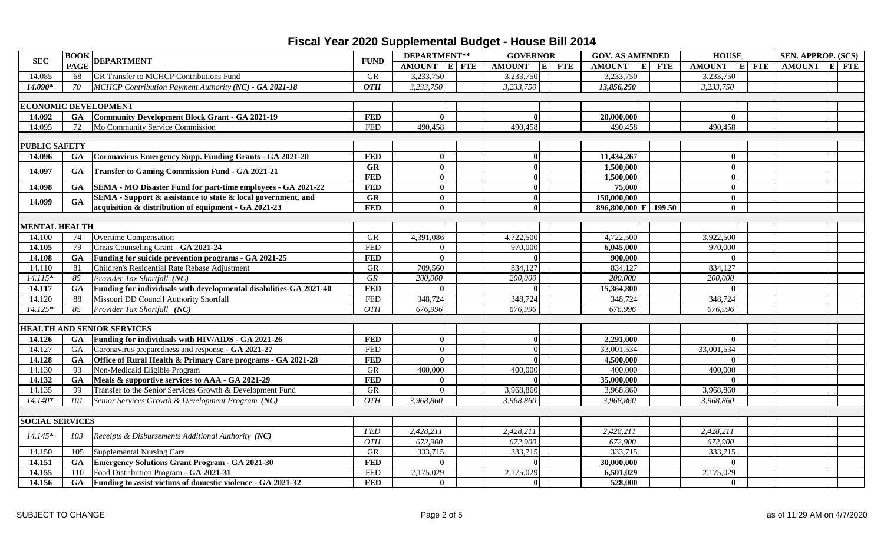| <b>SEC</b>             | <b>BOOK</b> | <b>DEPARTMENT</b>                                                  | <b>FUND</b>            | DEPARTMENT** | <b>GOVERNOR</b>                   | <b>GOV. AS AMENDED</b> | <b>HOUSE</b> | SEN. APPROP. (SCS) |  |  |
|------------------------|-------------|--------------------------------------------------------------------|------------------------|--------------|-----------------------------------|------------------------|--------------|--------------------|--|--|
|                        | <b>PAGE</b> |                                                                    |                        | AMOUNT E FTE | $\mathbf{E}$ FTE<br><b>AMOUNT</b> | AMOUNT E FTE           | AMOUNT E FTE | AMOUNT E FTE       |  |  |
| 14.085                 | 68          | GR Transfer to MCHCP Contributions Fund                            | <b>GR</b>              | 3,233,750    | 3,233,750                         | 3,233,750              | 3,233,750    |                    |  |  |
| 14.090*                | 70          | MCHCP Contribution Payment Authority (NC) - GA 2021-18             | <b>OTH</b>             | 3,233,750    | 3,233,750                         | 13,856,250             | 3,233,750    |                    |  |  |
|                        |             |                                                                    |                        |              |                                   |                        |              |                    |  |  |
|                        |             | <b>ECONOMIC DEVELOPMENT</b>                                        |                        |              |                                   |                        |              |                    |  |  |
| 14.092                 | GA          | Community Development Block Grant - GA 2021-19                     | <b>FED</b>             | $\mathbf{0}$ |                                   | 20,000,000             | $\mathbf{0}$ |                    |  |  |
| 14.095                 | 72          | Mo Community Service Commission                                    | <b>FED</b>             | 490,458      | 490,458                           | 490,458                | 490,458      |                    |  |  |
|                        |             |                                                                    |                        |              |                                   |                        |              |                    |  |  |
| <b>PUBLIC SAFETY</b>   |             |                                                                    |                        |              |                                   |                        |              |                    |  |  |
| 14.096                 | GA          | Coronavirus Emergency Supp. Funding Grants - GA 2021-20            | <b>FED</b>             | $\mathbf{0}$ | $\mathbf{0}$                      | 11,434,267             | $\mathbf{0}$ |                    |  |  |
| 14.097                 | GA          | <b>Transfer to Gaming Commission Fund - GA 2021-21</b>             | $\overline{\text{GR}}$ | $\vert$ 0    | $\Omega$                          | 1,500,000              | $\mathbf{0}$ |                    |  |  |
|                        |             |                                                                    | <b>FED</b>             | $\Omega$     | $\mathbf{0}$                      | 1,500,000              | $\mathbf{0}$ |                    |  |  |
| 14.098                 | GA          | SEMA - MO Disaster Fund for part-time employees - GA 2021-22       | <b>FED</b>             | $\vert$ 0    | $\bf{0}$                          | 75,000                 | $\mathbf{0}$ |                    |  |  |
| 14.099                 | GA          | SEMA - Support & assistance to state & local government, and       | GR                     | $\vert$ 0    | $\mathbf{0}$                      | 150,000,000            | $\mathbf{0}$ |                    |  |  |
|                        |             | acquisition & distribution of equipment - GA 2021-23               | <b>FED</b>             | $\mathbf{0}$ |                                   | 896,800,000 E 199.50   | $\mathbf{0}$ |                    |  |  |
|                        |             |                                                                    |                        |              |                                   |                        |              |                    |  |  |
| <b>MENTAL HEALTH</b>   |             |                                                                    |                        |              |                                   |                        |              |                    |  |  |
| 14.100                 | 74          | Overtime Compensation                                              | <b>GR</b>              | 4,391,086    | 4,722,500                         | 4,722,500              | 3,922,500    |                    |  |  |
| 14.105                 | 79          | Crisis Counseling Grant - GA 2021-24                               | <b>FED</b>             | $\Omega$     | 970,000                           | 6,045,000              | 970,000      |                    |  |  |
| 14.108                 | GA          | Funding for suicide prevention programs - GA 2021-25               | <b>FED</b>             | $\vert$ 0    |                                   | 900,000                | $\mathbf{0}$ |                    |  |  |
| 14.110                 | 81          | Children's Residential Rate Rebase Adjustment                      | <b>GR</b>              | 709,560      | 834,127                           | 834,127                | 834,127      |                    |  |  |
| $14.115*$              | 85          | Provider Tax Shortfall (NC)                                        | <b>GR</b>              | 200,000      | 200,000                           | 200,000                | 200,000      |                    |  |  |
| 14.117                 | <b>GA</b>   | Funding for individuals with developmental disabilities-GA 2021-40 | <b>FED</b>             | $\mathbf{0}$ | $\mathbf{u}$                      | 15,364,800             | $\mathbf{0}$ |                    |  |  |
| 14.120                 | 88          | Missouri DD Council Authority Shortfall                            | <b>FED</b>             | 348,724      | 348,724                           | 348,724                | 348,724      |                    |  |  |
| $14.125*$              | 85          | Provider Tax Shortfall (NC)                                        | <b>OTH</b>             | 676.996      | 676.996                           | 676,996                | 676.996      |                    |  |  |
|                        |             |                                                                    |                        |              |                                   |                        |              |                    |  |  |
|                        |             | <b>HEALTH AND SENIOR SERVICES</b>                                  |                        |              |                                   |                        |              |                    |  |  |
| 14.126                 | <b>GA</b>   | Funding for individuals with HIV/AIDS - GA 2021-26                 | <b>FED</b>             | $\mathbf{0}$ |                                   | 2,291,000              | $\mathbf{0}$ |                    |  |  |
| 14.127                 | GA          | Coronavirus preparedness and response - GA 2021-27                 | <b>FED</b>             | $\Omega$     | $\vert 0 \vert$                   | 33,001,534             | 33,001,534   |                    |  |  |
| 14.128                 | GA          | Office of Rural Health & Primary Care programs - GA 2021-28        | <b>FED</b>             | $\Omega$     | $\Omega$                          | 4,500,000              | $\mathbf{0}$ |                    |  |  |
| 14.130                 | 93          | Non-Medicaid Eligible Program                                      | <b>GR</b>              | 400,000      | 400,000                           | 400,000                | 400,000      |                    |  |  |
| 14.132                 | GA          | Meals & supportive services to AAA - GA 2021-29                    | <b>FED</b>             | $\mathbf{0}$ |                                   | 35,000,000             | $\mathbf{0}$ |                    |  |  |
| 14.135                 | 99          | Transfer to the Senior Services Growth & Development Fund          | GR                     | $\Omega$     | 3,968,860                         | 3,968,860              | 3,968,860    |                    |  |  |
| $14.140*$              | 101         | Senior Services Growth & Development Program (NC)                  | <b>OTH</b>             | 3,968,860    | 3,968,860                         | 3,968,860              | 3,968,860    |                    |  |  |
|                        |             |                                                                    |                        |              |                                   |                        |              |                    |  |  |
| <b>SOCIAL SERVICES</b> |             |                                                                    |                        |              |                                   |                        |              |                    |  |  |
| $14.145*$              | 103         | Receipts & Disbursements Additional Authority (NC)                 | <b>FED</b>             | 2,428,211    | 2,428,211                         | 2,428,211              | 2,428,211    |                    |  |  |
|                        |             |                                                                    | <b>OTH</b>             | 672,900      | 672,900                           | 672,900                | 672,900      |                    |  |  |
| 14.150                 | 105         | <b>Supplemental Nursing Care</b>                                   | <b>GR</b>              | 333,715      | 333,715                           | 333,715                | 333,715      |                    |  |  |
| 14.151                 | <b>GA</b>   | <b>Emergency Solutions Grant Program - GA 2021-30</b>              | <b>FED</b>             | $\mathbf{0}$ |                                   | 30,000,000             | $\mathbf{0}$ |                    |  |  |
| 14.155                 | 110         | Food Distribution Program - GA 2021-31                             | <b>FED</b>             | 2,175,029    | 2,175,029                         | 6,501,029              | 2,175,029    |                    |  |  |
| 14.156                 | <b>GA</b>   | Funding to assist victims of domestic violence - GA 2021-32        | <b>FED</b>             | $\vert$ 0    | $\mathbf{0}$                      | 528,000                | $\mathbf{0}$ |                    |  |  |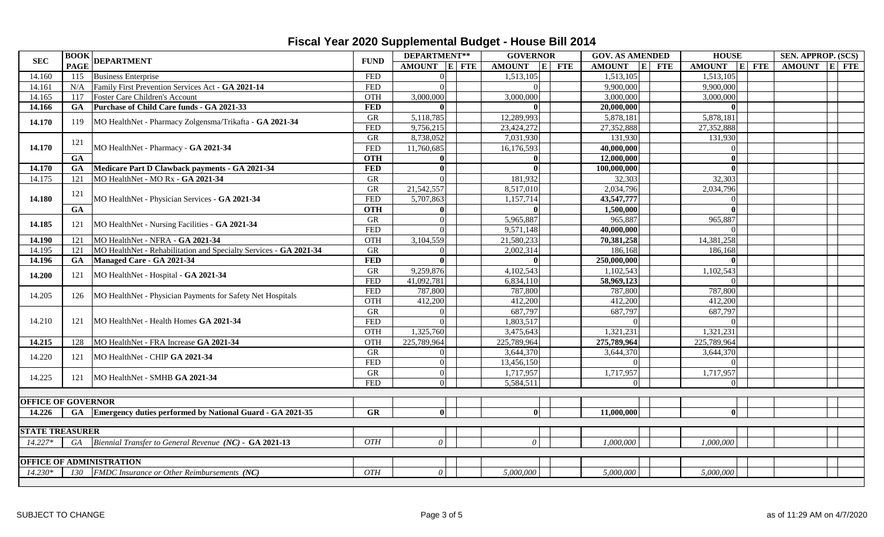| <b>SEC</b>                | <b>BOOK</b> |                                                                   | <b>FUND</b>      | DEPARTMENT**    |  | <b>GOVERNOR</b>        |            | <b>GOV. AS AMENDED</b>             | <b>HOUSE</b>               | SEN. APPROP. (SCS) |  |
|---------------------------|-------------|-------------------------------------------------------------------|------------------|-----------------|--|------------------------|------------|------------------------------------|----------------------------|--------------------|--|
|                           | <b>PAGE</b> | <b>DEPARTMENT</b>                                                 |                  | AMOUNT E FTE    |  | <b>AMOUNT</b><br> E    | <b>FTE</b> | <b>AMOUNT</b><br> E <br><b>FTE</b> | <b>AMOUNT</b><br>$ E $ FTE | AMOUNT E FTE       |  |
| 14.160                    | 115         | <b>Business Enterprise</b>                                        | <b>FED</b>       | $\Omega$        |  | 1,513,105              |            | 1,513,105                          | 1,513,105                  |                    |  |
| 14.161                    | N/A         | Family First Prevention Services Act - GA 2021-14                 | <b>FED</b>       | $\Omega$        |  | $\Omega$               |            | 9,900,000                          | 9,900,000                  |                    |  |
| 14.165                    | 117         | Foster Care Children's Account                                    | OTH              | 3,000,000       |  | 3,000,000              |            | 3,000,000                          | 3,000,000                  |                    |  |
| 14.166                    | GA          | Purchase of Child Care funds - GA 2021-33                         | <b>FED</b>       | $\mathbf{0}$    |  | $\mathbf{0}$           |            | 20,000,000                         | $\Omega$                   |                    |  |
| 14.170                    | 119         | MO HealthNet - Pharmacy Zolgensma/Trikafta - GA 2021-34           | <b>GR</b>        | 5,118,785       |  | 12,289,993             |            | 5,878,181                          | 5,878,181                  |                    |  |
|                           |             |                                                                   | <b>FED</b>       | 9,756,215       |  | 23,424,272             |            | 27,352,888                         | 27,352,888                 |                    |  |
|                           | 121         |                                                                   | <b>GR</b>        | 8,738,052       |  | 7,031,930              |            | 131,930                            | 131,930                    |                    |  |
| 14.170                    |             | MO HealthNet - Pharmacy - GA 2021-34                              | <b>FED</b>       | 11,760,685      |  | 16,176,593             |            | 40,000,000                         |                            |                    |  |
|                           | GA          |                                                                   | <b>OTH</b>       |                 |  |                        |            | 12,000,000                         |                            |                    |  |
| 14.170                    | GA          | Medicare Part D Clawback payments - GA 2021-34                    | <b>FED</b>       | $\theta$        |  |                        |            | 100,000,000                        | ∩                          |                    |  |
| 14.175                    | 121         | MO HealthNet - MO Rx - GA 2021-34                                 | <b>GR</b>        | $\Omega$        |  | 181,932                |            | 32,303                             | 32,303                     |                    |  |
|                           | 121         |                                                                   | <b>GR</b>        | 21,542,557      |  | $\overline{8,517,010}$ |            | 2,034,796                          | 2,034,796                  |                    |  |
| 14.180                    |             | MO HealthNet - Physician Services - GA 2021-34                    | <b>FED</b>       | 5,707,863       |  | 1,157,714              |            | 43,547,777                         |                            |                    |  |
|                           | GA          |                                                                   | <b>OTH</b>       | $\mathbf{0}$    |  |                        |            | 1,500,000                          |                            |                    |  |
|                           |             | MO HealthNet - Nursing Facilities - GA 2021-34                    | GR               | 0               |  | 5,965,887              |            | 965,887                            | 965,887                    |                    |  |
| 14.185                    | 121         |                                                                   | <b>FED</b>       | $\Omega$        |  | 9,571,148              |            | 40,000,000                         |                            |                    |  |
| 14.190                    | 121         | MO HealthNet - NFRA - GA 2021-34                                  | OTH              | 3,104,559       |  | 21,580,233             |            | 70,381,258                         | 14,381,258                 |                    |  |
| 14.195                    | 121         | MO HealthNet - Rehabilitation and Specialty Services - GA 2021-34 | <b>GR</b>        | $\Omega$        |  | 2,002,314              |            | 186,168                            | 186,168                    |                    |  |
| 14.196                    | GA          | Managed Care - GA 2021-34                                         | <b>FED</b>       | $\mathbf{0}$    |  | $\mathbf{0}$           |            | 250,000,000                        |                            |                    |  |
| 14.200                    | 121         | MO HealthNet - Hospital - GA 2021-34                              | ${\rm GR}$       | 9,259,876       |  | 4,102,543              |            | 1,102,543                          | 1,102,543                  |                    |  |
|                           |             |                                                                   | <b>FED</b>       | 41,092,781      |  | 6,834,110              |            | 58,969,123                         |                            |                    |  |
|                           | 126         | MO HealthNet - Physician Payments for Safety Net Hospitals        | <b>FED</b>       | 787,800         |  | 787,800                |            | 787,800                            | 787,800                    |                    |  |
| 14.205                    |             |                                                                   | OTH              | 412,200         |  | 412,200                |            | 412,200                            | 412,200                    |                    |  |
|                           |             | MO HealthNet - Health Homes GA 2021-34                            | GR               | $\Omega$        |  | 687,797                |            | 687,797                            | 687,797                    |                    |  |
| 14.210                    | 121         |                                                                   | <b>FED</b>       | $\Omega$        |  | 1,803,517              |            | $\Omega$                           |                            |                    |  |
|                           |             |                                                                   | OTH              | 1,325,760       |  | 3,475,643              |            | 1,321,231                          | 1,321,231                  |                    |  |
| 14.215                    | 128         | MO HealthNet - FRA Increase GA 2021-34                            | OTH              | 225,789,964     |  | 225,789,964            |            | 275,789,964                        | 225,789,964                |                    |  |
|                           |             |                                                                   | GR               | $\vert 0 \vert$ |  | 3,644,370              |            | 3,644,370                          | 3,644,370                  |                    |  |
| 14.220                    | 121         | MO HealthNet - CHIP GA 2021-34                                    | <b>FED</b>       | $\Omega$        |  | 13,456,150             |            | ΩI                                 |                            |                    |  |
|                           |             |                                                                   | GR               | 0               |  | 1,717,957              |            | 1,717,957                          | 1,717,957                  |                    |  |
| 14.225                    | 121         | MO HealthNet - SMHB GA 2021-34                                    | <b>FED</b>       | 0               |  | 5,584,511              |            | $\Omega$                           |                            |                    |  |
|                           |             |                                                                   |                  |                 |  |                        |            |                                    |                            |                    |  |
| <b>OFFICE OF GOVERNOR</b> |             |                                                                   |                  |                 |  |                        |            |                                    |                            |                    |  |
| 14.226                    | GA          | Emergency duties performed by National Guard - GA 2021-35         | $G$ R            | $\mathbf{0}$    |  | $\vert$ 0              |            | 11,000,000                         | $\mathbf{0}$               |                    |  |
|                           |             |                                                                   |                  |                 |  |                        |            |                                    |                            |                    |  |
| <b>STATE TREASURER</b>    |             |                                                                   |                  |                 |  |                        |            |                                    |                            |                    |  |
| $14.227*$                 | GA          | Biennial Transfer to General Revenue (NC) - GA 2021-13            | OTH              | $\theta$        |  | $\Omega$               |            | 1,000,000                          | 1,000,000                  |                    |  |
|                           |             |                                                                   |                  |                 |  |                        |            |                                    |                            |                    |  |
|                           |             | OFFICE OF ADMINISTRATION                                          |                  |                 |  |                        |            |                                    |                            |                    |  |
| $14.230*$                 | 130         | FMDC Insurance or Other Reimbursements (NC)                       | $\overline{OTH}$ | $\theta$        |  | 5,000,000              |            | 5,000,000                          | 5,000,000                  |                    |  |
|                           |             |                                                                   |                  |                 |  |                        |            |                                    |                            |                    |  |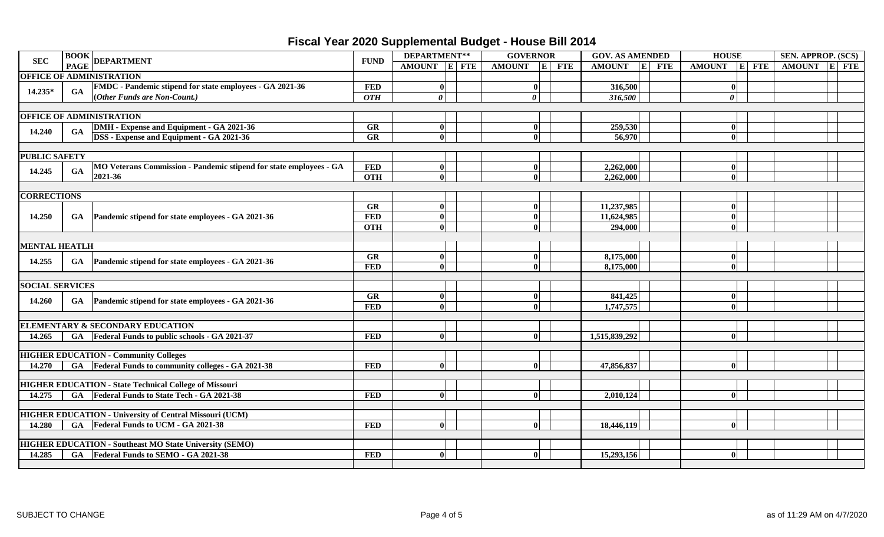|                                                                                                                                                 | <b>BOOK</b> DEPARTMENT                                                                                                                              |                                                                    | <b>FUND</b>  | DEPARTMENT** |  | <b>GOVERNOR</b> |              |       | <b>GOV. AS AMENDED</b> | <b>HOUSE</b>               |               |                       | <b>SEN. APPROP. (SCS)</b> |              |  |  |
|-------------------------------------------------------------------------------------------------------------------------------------------------|-----------------------------------------------------------------------------------------------------------------------------------------------------|--------------------------------------------------------------------|--------------|--------------|--|-----------------|--------------|-------|------------------------|----------------------------|---------------|-----------------------|---------------------------|--------------|--|--|
|                                                                                                                                                 | <b>PAGE</b>                                                                                                                                         |                                                                    |              | AMOUNT E FTE |  | <b>AMOUNT</b>   |              | E FTE | <b>AMOUNT</b>          | $\mathbf{E}$<br><b>FTE</b> | <b>AMOUNT</b> |                       | $E$ FTE                   | AMOUNT E FTE |  |  |
|                                                                                                                                                 |                                                                                                                                                     |                                                                    |              |              |  |                 |              |       |                        |                            |               |                       |                           |              |  |  |
|                                                                                                                                                 |                                                                                                                                                     | <b>FMDC</b> - Pandemic stipend for state employees - GA 2021-36    | <b>FED</b>   | $\mathbf{0}$ |  |                 | 0            |       | 316,500                |                            |               | 0                     |                           |              |  |  |
|                                                                                                                                                 |                                                                                                                                                     | (Other Funds are Non-Count.)                                       | <b>OTH</b>   | $\theta$     |  |                 | $\theta$     |       | 316,500                |                            |               | $\boldsymbol{\theta}$ |                           |              |  |  |
|                                                                                                                                                 |                                                                                                                                                     |                                                                    |              |              |  |                 |              |       |                        |                            |               |                       |                           |              |  |  |
|                                                                                                                                                 |                                                                                                                                                     |                                                                    |              |              |  |                 |              |       |                        |                            |               |                       |                           |              |  |  |
|                                                                                                                                                 |                                                                                                                                                     | DMH - Expense and Equipment - GA 2021-36                           | GR           | 0            |  |                 | $\mathbf{0}$ |       | 259,530                |                            |               | 0                     |                           |              |  |  |
|                                                                                                                                                 |                                                                                                                                                     | <b>DSS</b> - Expense and Equipment - GA 2021-36                    | GR           | $\mathbf{0}$ |  |                 | $\mathbf{0}$ |       | 56,970                 |                            |               | $\mathbf{0}$          |                           |              |  |  |
|                                                                                                                                                 |                                                                                                                                                     |                                                                    |              |              |  |                 |              |       |                        |                            |               |                       |                           |              |  |  |
|                                                                                                                                                 |                                                                                                                                                     |                                                                    |              |              |  |                 |              |       |                        |                            |               |                       |                           |              |  |  |
| 14.245                                                                                                                                          |                                                                                                                                                     | MO Veterans Commission - Pandemic stipend for state employees - GA | <b>FED</b>   | 0            |  |                 | $\vert$ 0    |       | 2,262,000              |                            |               | 0                     |                           |              |  |  |
|                                                                                                                                                 |                                                                                                                                                     | 2021-36                                                            | <b>OTH</b>   | $\mathbf{0}$ |  |                 | $\mathbf{0}$ |       | 2,262,000              |                            |               | 0                     |                           |              |  |  |
|                                                                                                                                                 |                                                                                                                                                     |                                                                    |              |              |  |                 |              |       |                        |                            |               |                       |                           |              |  |  |
|                                                                                                                                                 |                                                                                                                                                     |                                                                    |              |              |  |                 |              |       |                        |                            |               |                       |                           |              |  |  |
|                                                                                                                                                 |                                                                                                                                                     |                                                                    | GR           | $\mathbf{0}$ |  |                 | $\mathbf{0}$ |       | 11,237,985             |                            |               | $\mathbf{0}$          |                           |              |  |  |
|                                                                                                                                                 | <b>SEC</b><br>OFFICE OF ADMINISTRATION<br>GA<br><b>OFFICE OF ADMINISTRATION</b><br>GA<br>GA<br>GA<br><b>MENTAL HEATLH</b><br><b>SOCIAL SERVICES</b> | Pandemic stipend for state employees - GA 2021-36                  | <b>FED</b>   | $\mathbf{0}$ |  |                 | $\mathbf{0}$ |       | 11,624,985             |                            |               | $\mathbf{0}$          |                           |              |  |  |
|                                                                                                                                                 |                                                                                                                                                     |                                                                    | <b>OTH</b>   | $\mathbf{0}$ |  |                 | $\mathbf{0}$ |       | 294,000                |                            |               | $\mathbf{0}$          |                           |              |  |  |
|                                                                                                                                                 |                                                                                                                                                     |                                                                    |              |              |  |                 |              |       |                        |                            |               |                       |                           |              |  |  |
|                                                                                                                                                 |                                                                                                                                                     | GA Pandemic stipend for state employees - GA 2021-36               | $G$ <b>R</b> | $\mathbf{0}$ |  |                 | 0            |       | 8,175,000              |                            |               | 0                     |                           |              |  |  |
|                                                                                                                                                 |                                                                                                                                                     |                                                                    | <b>FED</b>   | $\mathbf{0}$ |  |                 | $\mathbf{0}$ |       | 8,175,000              |                            |               | $\mathbf{0}$          |                           |              |  |  |
|                                                                                                                                                 |                                                                                                                                                     |                                                                    |              |              |  |                 |              |       |                        |                            |               |                       |                           |              |  |  |
|                                                                                                                                                 |                                                                                                                                                     |                                                                    |              |              |  |                 |              |       |                        |                            |               |                       |                           |              |  |  |
|                                                                                                                                                 |                                                                                                                                                     | GA Pandemic stipend for state employees - GA 2021-36               | GR           | $\mathbf{0}$ |  |                 | $\mathbf{0}$ |       | 841,425                |                            |               | 0                     |                           |              |  |  |
| 14.235*<br>14.240<br><b>PUBLIC SAFETY</b><br><b>CORRECTIONS</b><br>14.250<br>14.255<br>14.260<br>14.265<br>14.270<br>14.275<br>14.280<br>14.285 |                                                                                                                                                     |                                                                    | <b>FED</b>   | $\mathbf{0}$ |  |                 | 0            |       | 1,747,575              |                            |               | $\mathbf{0}$          |                           |              |  |  |
|                                                                                                                                                 |                                                                                                                                                     |                                                                    |              |              |  |                 |              |       |                        |                            |               |                       |                           |              |  |  |
|                                                                                                                                                 |                                                                                                                                                     | ELEMENTARY & SECONDARY EDUCATION                                   |              |              |  |                 |              |       |                        |                            |               |                       |                           |              |  |  |
|                                                                                                                                                 |                                                                                                                                                     | GA Federal Funds to public schools - GA 2021-37                    | <b>FED</b>   | $\mathbf{0}$ |  |                 | $\mathbf{0}$ |       | 1,515,839,292          |                            |               | 0                     |                           |              |  |  |
|                                                                                                                                                 |                                                                                                                                                     |                                                                    |              |              |  |                 |              |       |                        |                            |               |                       |                           |              |  |  |
|                                                                                                                                                 |                                                                                                                                                     | <b>HIGHER EDUCATION - Community Colleges</b>                       |              |              |  |                 |              |       |                        |                            |               |                       |                           |              |  |  |
|                                                                                                                                                 |                                                                                                                                                     | GA Federal Funds to community colleges - GA 2021-38                | <b>FED</b>   | $\mathbf{u}$ |  |                 | $\mathbf{0}$ |       | 47,856,837             |                            |               | $\mathbf{0}$          |                           |              |  |  |
|                                                                                                                                                 |                                                                                                                                                     |                                                                    |              |              |  |                 |              |       |                        |                            |               |                       |                           |              |  |  |
|                                                                                                                                                 |                                                                                                                                                     | <b>HIGHER EDUCATION - State Technical College of Missouri</b>      |              |              |  |                 |              |       |                        |                            |               |                       |                           |              |  |  |
|                                                                                                                                                 |                                                                                                                                                     | GA Federal Funds to State Tech - GA 2021-38                        | <b>FED</b>   | $\mathbf{0}$ |  |                 | $\mathbf{0}$ |       | 2,010,124              |                            |               | 0                     |                           |              |  |  |
|                                                                                                                                                 |                                                                                                                                                     |                                                                    |              |              |  |                 |              |       |                        |                            |               |                       |                           |              |  |  |
|                                                                                                                                                 |                                                                                                                                                     | <b>HIGHER EDUCATION - University of Central Missouri (UCM)</b>     |              |              |  |                 |              |       |                        |                            |               |                       |                           |              |  |  |
|                                                                                                                                                 |                                                                                                                                                     | GA Federal Funds to UCM - GA 2021-38                               | <b>FED</b>   | $\mathbf{0}$ |  |                 | $\mathbf{0}$ |       | 18,446,119             |                            |               | $\mathbf{0}$          |                           |              |  |  |
|                                                                                                                                                 |                                                                                                                                                     |                                                                    |              |              |  |                 |              |       |                        |                            |               |                       |                           |              |  |  |
|                                                                                                                                                 |                                                                                                                                                     | <b>HIGHER EDUCATION - Southeast MO State University (SEMO)</b>     |              |              |  |                 |              |       |                        |                            |               |                       |                           |              |  |  |
|                                                                                                                                                 |                                                                                                                                                     | GA Federal Funds to SEMO - GA 2021-38                              | <b>FED</b>   | $\mathbf{0}$ |  |                 | 0            |       | 15,293,156             |                            |               | $\mathbf{0}$          |                           |              |  |  |
|                                                                                                                                                 |                                                                                                                                                     |                                                                    |              |              |  |                 |              |       |                        |                            |               |                       |                           |              |  |  |